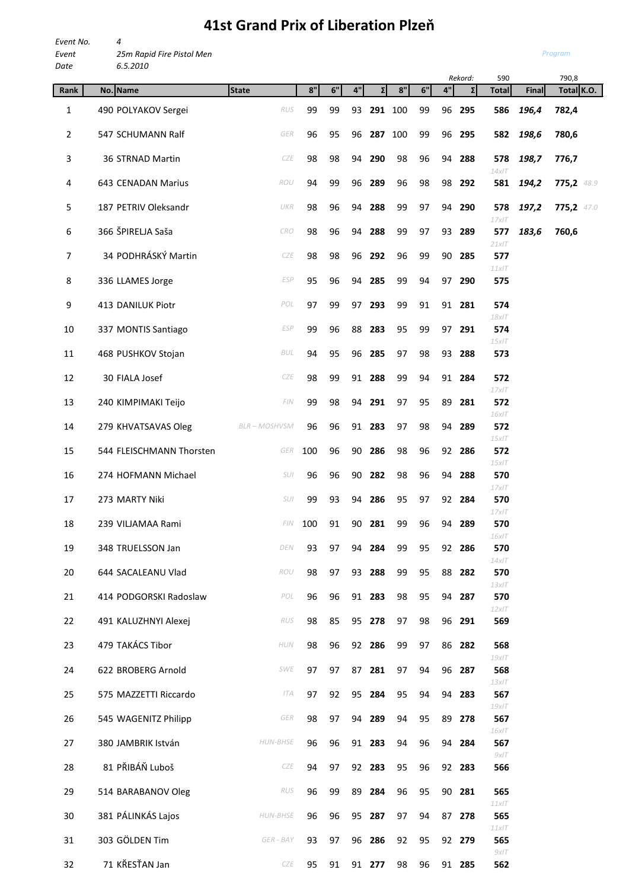## *Event 25m Rapid Fire Pistol Men Date 6.5.2010 Rekord:* 590 790,8 **Rank No. Name State 8" 6" 4" Σ 8" 6" 4" Σ Total Final Total K.O.** 1 490 POLYAKOV Sergei *RUS* 99 99 93 **291** 100 99 96 **295 586** *196,4* **782,4** 2 547 SCHUMANN Ralf *GER* 96 95 96 **287** 100 99 96 **295 582** *198,6* **780,6** 3 36 STRNAD Martin *CZE* 98 98 94 **290** 98 96 94 **288 578** *198,7* **776,7** *14xIT* 4 643 CENADAN Marius *ROU* 94 99 96 **289** 96 98 98 **292 581** *194,2* **775,2** *48.9*  5 187 PETRIV Oleksandr *UKR* 98 96 94 **288** 99 97 94 **290 578** *197,2* **775,2** *47.0 17xIT* 6 366 ŠPIRELJA Saša *CRO* 98 96 94 **288** 99 97 93 **289 577** *183,6* **760,6** *21xIT* 7 34 PODHRÁSKÝ Martin *CZE* 98 98 96 **292** 96 99 90 **285 577** *11xIT* 8 336 LLAMES Jorge *ESP* 95 96 94 **285** 99 94 97 **290 575** 9 413 DANILUK Piotr *POL* 97 99 97 **293** 99 91 91 **281 574** *18xIT* 10 337 MONTIS Santiago *ESP* 99 96 88 **283** 95 99 97 **291 574** *15xIT* 11 468 PUSHKOV Stojan *BUL* 94 95 96 **285** 97 98 93 **288 573** 12 30 FIALA Josef *CZE* 98 99 91 **288** 99 94 91 **284 572** *17xIT* 13 240 KIMPIMAKI Teijo *FIN* 99 98 94 **291** 97 95 89 **281 572** *16xIT* 14 279 KHVATSAVAS Oleg *BLR – MOSHVSM* 96 96 91 **283** 97 98 94 **289 572** *15xIT* 15 544 FLEISCHMANN Thorsten *GER* 100 96 90 **286** 98 96 92 **286 572** *15xIT* 16 274 HOFMANN Michael *SUI* 96 96 90 **282** 98 96 94 **288 570** *17xIT* 17 273 MARTY Niki *SUI* 99 93 94 **286** 95 97 92 **284 570** *17xIT* 18 239 VILJAMAA Rami *FIN* 100 91 90 **281** 99 96 94 **289 570** *16xIT* 19 348 TRUELSSON Jan *DEN* 93 97 94 **284** 99 95 92 **286 570** *14xIT* 20 644 SACALEANU Vlad *ROU* 98 97 93 **288** 99 95 88 **282 570** *13xIT* 21 414 PODGORSKI Radoslaw *POL* 96 96 91 **283** 98 95 94 **287 570** *12xIT* 22 491 KALUZHNYI Alexej *RUS* 98 85 95 **278** 97 98 96 **291 569** 23 479 TAKÁCS Tibor *HUN* 98 96 92 **286** 99 97 86 **282 568** *19xIT* 24 622 BROBERG Arnold *SWE* 97 97 87 **281** 97 94 96 **287 568** *13xIT* 25 575 MAZZETTI Riccardo *ITA* 97 92 95 **284** 95 94 94 **283 567** *19xIT* 26 545 WAGENITZ Philipp *GER* 98 97 94 **289** 94 95 89 **278 567** *16xIT* 27 380 JAMBRIK István *HUN-BHSE* 96 96 91 **283** 94 96 94 **284 567** *9xIT* 28 81 PŘIBÁŇ Luboš *CZE* 94 97 92 **283** 95 96 92 **283 566** 29 514 BARABANOV Oleg *RUS* 96 99 89 **284** 96 95 90 **281 565**

30 381 PÁLINKÁS Lajos *HUN-BHSE* 96 96 95 **287** 97 94 87 **278 565**

31 303 GÖLDEN Tim *GER - BAY* 93 97 96 **286** 92 95 92 **279 565**

32 71 KŘESŤAN Jan *CZE* 95 91 91 **277** 98 96 91 **285 562**

## **41st Grand Prix of Liberation Plzeň**

*Event No. 4*

*Program*

*11xIT*

*11xIT*

 $QY$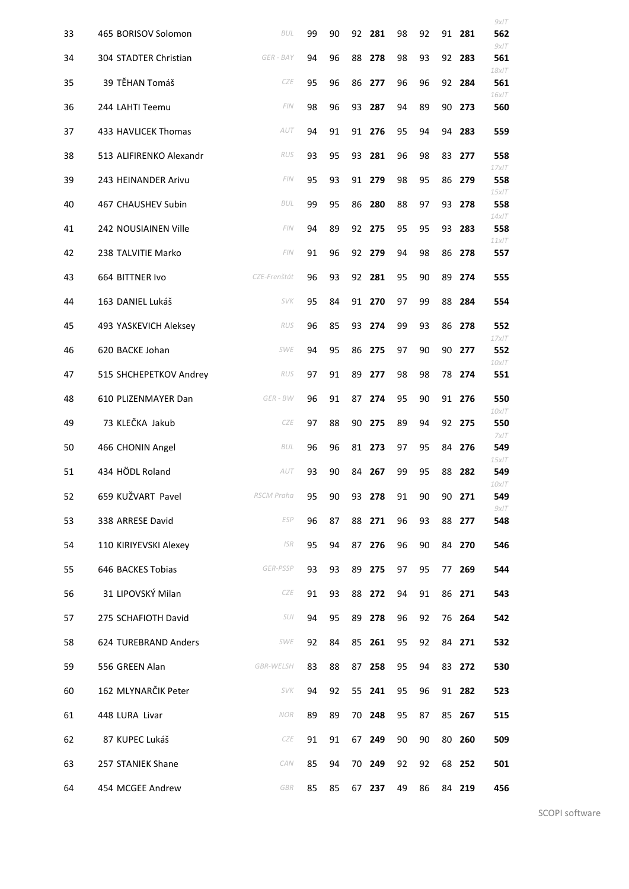|    |                         |              |    |    |    |        |    |    |    |        | 9xIT                       |
|----|-------------------------|--------------|----|----|----|--------|----|----|----|--------|----------------------------|
| 33 | 465 BORISOV Solomon     | <b>BUL</b>   | 99 | 90 | 92 | 281    | 98 | 92 | 91 | 281    | 562                        |
| 34 | 304 STADTER Christian   | GER - BAY    | 94 | 96 | 88 | 278    | 98 | 93 | 92 | 283    | 9xIT<br>561                |
| 35 | 39 TĚHAN Tomáš          | <b>CZE</b>   | 95 | 96 | 86 | 277    | 96 | 96 | 92 | 284    | $18x$ IT<br>561            |
| 36 | 244 LAHTI Teemu         | FIN          | 98 | 96 | 93 | 287    | 94 | 89 | 90 | 273    | 16xIT<br>560               |
| 37 | 433 HAVLICEK Thomas     | AUT          | 94 | 91 |    | 91 276 | 95 | 94 | 94 | 283    | 559                        |
| 38 | 513 ALIFIRENKO Alexandr | <b>RUS</b>   | 93 | 95 | 93 | 281    | 96 | 98 | 83 | 277    | 558                        |
| 39 | 243 HEINANDER Arivu     | FIN          | 95 | 93 |    | 91 279 | 98 | 95 | 86 | 279    | $17x$ IT<br>558            |
| 40 | 467 CHAUSHEV Subin      | <b>BUL</b>   | 99 | 95 | 86 | 280    | 88 | 97 | 93 | 278    | $15x$ IT<br>558            |
| 41 | 242 NOUSIAINEN Ville    | FIN          | 94 | 89 |    | 92 275 | 95 | 95 | 93 | 283    | $14x$ IT<br>558            |
| 42 | 238 TALVITIE Marko      | FIN          | 91 | 96 |    | 92 279 | 94 | 98 | 86 | 278    | $11x$ IT<br>557            |
| 43 | 664 BITTNER Ivo         | CZE-Frenštát | 96 | 93 |    | 92 281 | 95 | 90 | 89 | 274    | 555                        |
| 44 | 163 DANIEL Lukáš        | <b>SVK</b>   | 95 | 84 |    | 91 270 | 97 | 99 | 88 | 284    | 554                        |
| 45 | 493 YASKEVICH Aleksey   | RUS          | 96 | 85 | 93 | 274    | 99 | 93 | 86 | 278    | 552                        |
| 46 | 620 BACKE Johan         | <b>SWE</b>   | 94 | 95 | 86 | 275    | 97 | 90 | 90 | 277    | $17x$ IT<br>552            |
| 47 | 515 SHCHEPETKOV Andrey  | <b>RUS</b>   | 97 | 91 | 89 | 277    | 98 | 98 | 78 | 274    | $10x$ IT<br>551            |
| 48 | 610 PLIZENMAYER Dan     | GER - BW     | 96 | 91 | 87 | 274    | 95 | 90 | 91 | 276    | 550<br>$10x$ IT            |
| 49 | 73 KLEČKA Jakub         | <b>CZE</b>   | 97 | 88 | 90 | 275    | 89 | 94 | 92 | 275    | 550                        |
| 50 | 466 CHONIN Angel        | <b>BUL</b>   | 96 | 96 | 81 | 273    | 97 | 95 | 84 | 276    | $7x$ IT<br>549<br>$15x$ IT |
| 51 | 434 HÖDL Roland         | AUT          | 93 | 90 |    | 84 267 | 99 | 95 | 88 | 282    | 549<br>$10x$ IT            |
| 52 | 659 KUŽVART Pavel       | RSCM Praha   | 95 | 90 | 93 | 278    | 91 | 90 | 90 | 271    | 549                        |
| 53 | 338 ARRESE David        | <b>ESP</b>   | 96 | 87 |    | 88 271 | 96 | 93 | 88 | 277    | $9x$ IT<br>548             |
| 54 | 110 KIRIYEVSKI Alexey   | <b>ISR</b>   | 95 | 94 | 87 | 276    | 96 | 90 | 84 | 270    | 546                        |
| 55 | 646 BACKES Tobias       | GER-PSSP     | 93 | 93 | 89 | 275    | 97 | 95 | 77 | 269    | 544                        |
| 56 | 31 LIPOVSKÝ Milan       | CZE          | 91 | 93 |    | 88 272 | 94 | 91 | 86 | 271    | 543                        |
| 57 | 275 SCHAFIOTH David     | SUI          | 94 | 95 |    | 89 278 | 96 | 92 |    | 76 264 | 542                        |
| 58 | 624 TUREBRAND Anders    | <b>SWE</b>   | 92 | 84 | 85 | 261    | 95 | 92 |    | 84 271 | 532                        |
| 59 | 556 GREEN Alan          | GBR-WELSH    | 83 | 88 | 87 | 258    | 95 | 94 |    | 83 272 | 530                        |
| 60 | 162 MLYNARČIK Peter     | <b>SVK</b>   | 94 | 92 |    | 55 241 | 95 | 96 |    | 91 282 | 523                        |
| 61 | 448 LURA Livar          | <b>NOR</b>   | 89 | 89 |    | 70 248 | 95 | 87 | 85 | 267    | 515                        |
| 62 | 87 KUPEC Lukáš          | <b>CZE</b>   | 91 | 91 |    | 67 249 | 90 | 90 |    | 80 260 | 509                        |
| 63 | 257 STANIEK Shane       | CAN          | 85 | 94 |    | 70 249 | 92 | 92 |    | 68 252 | 501                        |
| 64 | 454 MCGEE Andrew        | GBR          | 85 | 85 |    | 67 237 | 49 | 86 |    | 84 219 | 456                        |

SCOPI software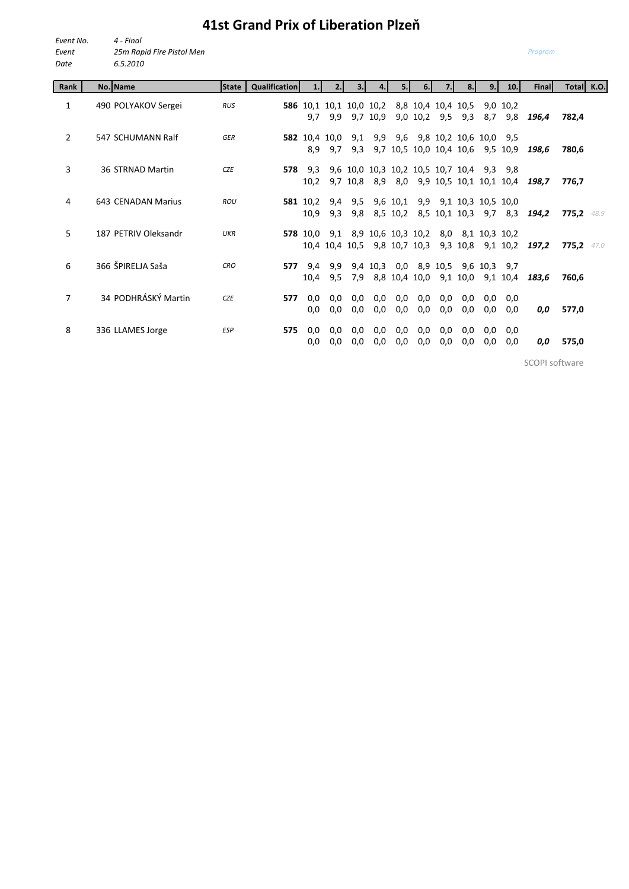## **41st Grand Prix of Liberation Plzeň**

| Event No. | 4 - Final                 |
|-----------|---------------------------|
| Event     | 25m Rapid Fire Pistol Men |
| Date      | 6.5.2010                  |

| Rank           | No. Name             | <b>State</b> | <b>Qualification</b> | 1.               | 2.1            | 3.1        | 4.                              | 5.                   | 6.         | 7.1                               | 8.1        | 9.1                                         | 10.                                            | <b>Final</b> | Total K.O. |      |
|----------------|----------------------|--------------|----------------------|------------------|----------------|------------|---------------------------------|----------------------|------------|-----------------------------------|------------|---------------------------------------------|------------------------------------------------|--------------|------------|------|
| 1              | 490 POLYAKOV Sergei  | <b>RUS</b>   |                      | 9,7              | 9,9            | 9.7        | 586 10,1 10,1 10,0 10,2<br>10,9 | 9,0                  | 10,2       | 8,8 10,4 10,4 10,5<br>9,5         | 9,3        | 8,7                                         | 9,0 10,2<br>9,8                                | 196,4        | 782,4      |      |
| $\overline{2}$ | 547 SCHUMANN Ralf    | <b>GER</b>   |                      | 582 10,4 10,0    |                | 9,1        |                                 |                      |            |                                   |            | 9,9 9,6 9,8 10,2 10,6 10,0 9,5              |                                                |              |            |      |
|                |                      |              |                      | 8,9              | 9,7            | 9,3        |                                 |                      |            |                                   |            |                                             | 9,7 10,5 10,0 10,4 10,6 9,5 10,9               | 198.6        | 780,6      |      |
| 3              | 36 STRNAD Martin     | <b>CZE</b>   | 578                  | 9,3<br>10,2      | 9,7            | 10,8       |                                 |                      |            | 9,6 10,0 10,3 10,2 10,5 10,7 10,4 |            |                                             | $9,3$ $9,8$<br>8,9 8,0 9,9 10,5 10,1 10,1 10,4 | 198.7        | 776,7      |      |
| 4              | 643 CENADAN Marius   | <b>ROU</b>   |                      | 581 10.2<br>10,9 | 9,4<br>9,3     | 9,5<br>9,8 |                                 | 9,6 10,1<br>8,5 10,2 |            |                                   |            | 9,9 9,1 10,3 10,5 10,0<br>8,5 10,1 10,3 9,7 | 8,3                                            | 194,2        | 775,2      | 48.9 |
| 5.             | 187 PFTRIV Oleksandr | UKR          |                      | <b>578</b> 10,0  | 9,1            |            | 8,9 10,6 10,3 10,2              |                      |            |                                   |            | 8,0 8,1 10,3 10,2                           |                                                |              |            |      |
|                |                      |              |                      |                  | 10,4 10,4 10,5 |            |                                 | 9,8 10,7             | 10,3       | 9,3                               | 10,8       |                                             | 9,1 10,2                                       | 197,2        | 775,2      | 47.0 |
| 6              | 366 ŠPIRELJA Saša    | <b>CRO</b>   | 577                  | 9,4<br>10,4      | 9,9<br>9,5     | 7,9        | 9,4 10,3                        | 8,8 10,4             | 10,0       | 9,1                               | 10,0       | 0,0 8,9 10,5 9,6 10,3 9,7                   | 9,1 10,4                                       | 183,6        | 760,6      |      |
| 7              | 34 PODHRÁSKÝ Martin  | <b>CZE</b>   | 577                  | 0,0              | 0,0            | 0,0        | 0,0                             | 0,0                  | 0,0        | 0,0                               | 0,0        | 0,0                                         | 0,0                                            |              |            |      |
| 8              | 336 LLAMES Jorge     | <b>ESP</b>   | 575                  | 0,0<br>0,0       | 0,0<br>0,0     | 0,0<br>0,0 | 0,0<br>0,0                      | 0,0<br>0,0           | 0,0<br>0,0 | 0,0<br>0,0                        | 0,0<br>0,0 | 0,0<br>0,0                                  | 0,0<br>0,0                                     | 0,0          | 577,0      |      |
|                |                      |              |                      | 0,0              | 0,0            | 0,0        | 0,0                             | 0,0                  | 0,0        | 0,0                               | 0,0        | 0,0                                         | 0,0                                            | 0,0          | 575,0      |      |

SCOPI software